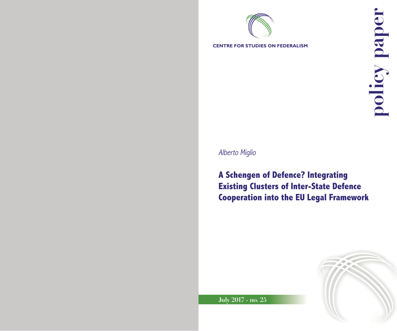

Alberto Miglio

**A Schengen of Defence? Integrating Existing Clusters of Inter-State Defence Cooperation into the EU Legal Framework**



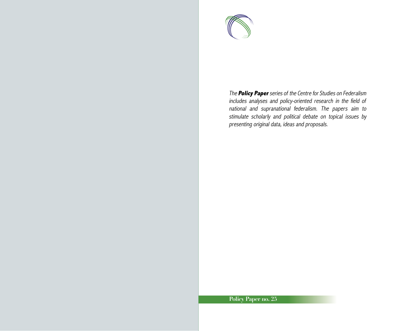

The **Policy Paper** series of the Centre for Studies on Federalism includes analyses and policy-oriented research in the field of national and supranational federalism. The papers aim to stimulate scholarly and political debate on topical issues by presenting original data, ideas and proposals.

## **Policy Paper no. 25**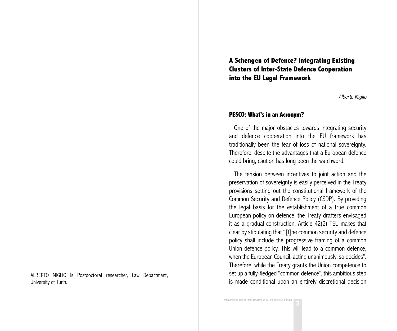**A Schengen of Defence? Integrating Existing Clusters of Inter-State Defence Cooperation into the EU Legal Framework**

Alberto Miglio

### **PESCO: What's in an Acronym?**

One of the major obstacles towards integrating security and defence cooperation into the EU framework has traditionally been the fear of loss of national sovereignty. Therefore, despite the advantages that a European defence could bring, caution has long been the watchword.

The tension between incentives to joint action and the preservation of sovereignty is easily perceived in the Treaty provisions setting out the constitutional framework of the Common Security and Defence Policy (CSDP). By providing the legal basis for the establishment of a true common European policy on defence, the Treaty drafters envisaged it as a gradual construction. Article 42(2) TEU makes that clear by stipulating that "[t]he common security and defence policy shall include the progressive framing of a common Union defence policy. This will lead to a common defence, when the European Council, acting unanimously, so decides". Therefore, while the Treaty grants the Union competence to set up a fully-fledged "common defence", this ambitious step is made conditional upon an entirely discretional decision

ALBERTO MIGLIO is Postdoctoral researcher, Law Department, University of Turin.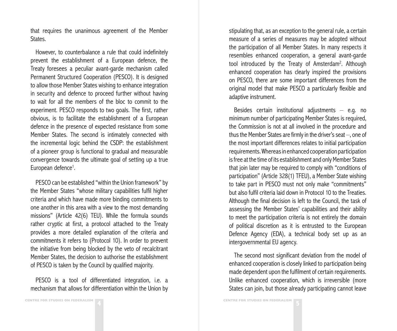that requires the unanimous agreement of the Member States.

However, to counterbalance a rule that could indefinitely prevent the establishment of a European defence, the Treaty foresees a peculiar avant-garde mechanism called Permanent Structured Cooperation (PESCO). It is designed to allow those Member States wishing to enhance integration in security and defence to proceed further without having to wait for all the members of the bloc to commit to the experiment. PESCO responds to two goals. The first, rather obvious, is to facilitate the establishment of a European defence in the presence of expected resistance from some Member States. The second is intimately connected with the incremental logic behind the CSDP: the establishment of a pioneer group is functional to gradual and measurable convergence towards the ultimate goal of setting up a true European defence<sup>1</sup>.

PESCO can be established "within the Union framework" by the Member States "whose military capabilities fulfil higher criteria and which have made more binding commitments to one another in this area with a view to the most demanding missions" (Article 42(6) TEU). While the formula sounds rather cryptic at first, a protocol attached to the Treaty provides a more detailed explanation of the criteria and commitments it refers to (Protocol 10). In order to prevent the initiative from being blocked by the veto of recalcitrant Member States, the decision to authorise the establishment of PESCO is taken by the Council by qualified majority.

PESCO is a tool of differentiated integration, i.e. a mechanism that allows for differentiation within the Union by stipulating that, as an exception to the general rule, a certain measure of a series of measures may be adopted without the participation of all Member States. In many respects it resembles enhanced cooperation, a general avant-garde tool introduced by the Treaty of Amsterdam<sup>2</sup>. Although enhanced cooperation has clearly inspired the provisions on PESCO, there are some important differences from the original model that make PESCO a particularly flexible and adaptive instrument.

Besides certain institutional adjustments  $-$  e.g. no minimum number of participating Member States is required, the Commission is not at all involved in the procedure and thus the Member States are firmly in the driver's seat –, one of the most important differences relates to initial participation requirements. Whereas in enhanced cooperation participation is free at the time of its establishment and only Member States that join later may be required to comply with "conditions of participation" (Article 328(1) TFEU), a Member State wishing to take part in PESCO must not only make "commitments" but also fulfil criteria laid down in Protocol 10 to the Treaties. Although the final decision is left to the Council, the task of assessing the Member States' capabilities and their ability to meet the participation criteria is not entirely the domain of political discretion as it is entrusted to the European Defence Agency (EDA), a technical body set up as an intergovernmental EU agency.

The second most significant deviation from the model of enhanced cooperation is closely linked to participation being made dependent upon the fulfilment of certain requirements. Unlike enhanced cooperation, which is irreversible (more States can join, but those already participating cannot leave

**5 CENTRE FOR STUDIES ON FEDERALISM**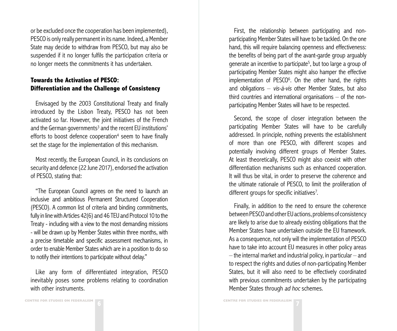or be excluded once the cooperation has been implemented), PESCO is only really permanent in its name. Indeed, a Member State may decide to withdraw from PESCO, but may also be suspended if it no longer fulfils the participation criteria or no longer meets the commitments it has undertaken.

# **Towards the Activation of PESCO: Differentiation and the Challenge of Consistency**

Envisaged by the 2003 Constitutional Treaty and finally introduced by the Lisbon Treaty, PESCO has not been activated so far. However, the joint initiatives of the French and the German governments<sup>3</sup> and the recent EU institutions' efforts to boost defence cooperation<sup>4</sup> seem to have finally set the stage for the implementation of this mechanism.

Most recently, the European Council, in its conclusions on security and defence (22 June 2017), endorsed the activation of PESCO, stating that:

"The European Council agrees on the need to launch an inclusive and ambitious Permanent Structured Cooperation (PESCO). A common list of criteria and binding commitments, fully in line with Articles 42(6) and 46 TEU and Protocol 10 to the Treaty - including with a view to the most demanding missions - will be drawn up by Member States within three months, with a precise timetable and specific assessment mechanisms, in order to enable Member States which are in a position to do so to notify their intentions to participate without delay."

Like any form of differentiated integration, PESCO inevitably poses some problems relating to coordination with other instruments.

First, the relationship between participating and nonparticipating Member States will have to be tackled. On the one hand, this will require balancing openness and effectiveness: the benefits of being part of the avant-garde group arguably generate an incentive to participate<sup>5</sup>, but too large a group of participating Member States might also hamper the effective implementation of PESCO<sup>6</sup>. On the other hand, the rights and obligations  $-$  vis-à-vis other Member States, but also third countries and international organisations  $-$  of the nonparticipating Member States will have to be respected.

Second, the scope of closer integration between the participating Member States will have to be carefully addressed. In principle, nothing prevents the establishment of more than one PESCO, with different scopes and potentially involving different groups of Member States. At least theoretically, PESCO might also coexist with other differentiation mechanisms such as enhanced cooperation. It will thus be vital, in order to preserve the coherence and the ultimate rationale of PESCO, to limit the proliferation of different groups for specific initiatives<sup>7</sup>.

Finally, in addition to the need to ensure the coherence between PESCO and other EU actions, problems of consistency are likely to arise due to already existing obligations that the Member States have undertaken outside the EU framework. As a consequence, not only will the implementation of PESCO have to take into account EU measures in other policy areas  $-$  the internal market and industrial policy, in particular  $-$  and to respect the rights and duties of non-participating Member States, but it will also need to be effectively coordinated with previous commitments undertaken by the participating Member States through ad hoc schemes.

**7 CENTRE FOR STUDIES ON FEDERALISM**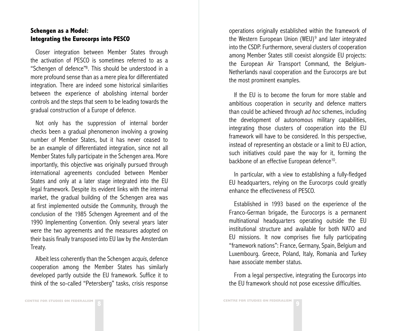## **Schengen as a Model: Integrating the Eurocorps into PESCO**

Closer integration between Member States through the activation of PESCO is sometimes referred to as a "Schengen of defence"8 . This should be understood in a more profound sense than as a mere plea for differentiated integration. There are indeed some historical similarities between the experience of abolishing internal border controls and the steps that seem to be leading towards the gradual construction of a Europe of defence.

Not only has the suppression of internal border checks been a gradual phenomenon involving a growing number of Member States, but it has never ceased to be an example of differentiated integration, since not all Member States fully participate in the Schengen area. More importantly, this objective was originally pursued through international agreements concluded between Member States and only at a later stage integrated into the EU legal framework. Despite its evident links with the internal market, the gradual building of the Schengen area was at first implemented outside the Community, through the conclusion of the 1985 Schengen Agreement and of the 1990 Implementing Convention. Only several years later were the two agreements and the measures adopted on their basis finally transposed into EU law by the Amsterdam Treaty.

Albeit less coherently than the Schengen *acquis*, defence cooperation among the Member States has similarly developed partly outside the EU framework. Suffice it to think of the so-called "Petersberg" tasks, crisis response

operations originally established within the framework of the Western European Union (WEU)<sup>9</sup> and later integrated into the CSDP. Furthermore, several clusters of cooperation among Member States still coexist alongside EU projects: the European Air Transport Command, the Belgium-Netherlands naval cooperation and the Eurocorps are but the most prominent examples.

If the EU is to become the forum for more stable and ambitious cooperation in security and defence matters than could be achieved through ad hoc schemes, including the development of autonomous military capabilities, integrating those clusters of cooperation into the EU framework will have to be considered. In this perspective, instead of representing an obstacle or a limit to EU action, such initiatives could pave the way for it, forming the backbone of an effective European defence<sup>10</sup>.

In particular, with a view to establishing a fully-fledged EU headquarters, relying on the Eurocorps could greatly enhance the effectiveness of PESCO.

Established in 1993 based on the experience of the Franco-German brigade, the Eurocorps is a permanent multinational headquarters operating outside the EU institutional structure and available for both NATO and EU missions. It now comprises five fully participating "framework nations": France, Germany, Spain, Belgium and Luxembourg. Greece, Poland, Italy, Romania and Turkey have associate member status.

From a legal perspective, integrating the Eurocorps into the EU framework should not pose excessive difficulties.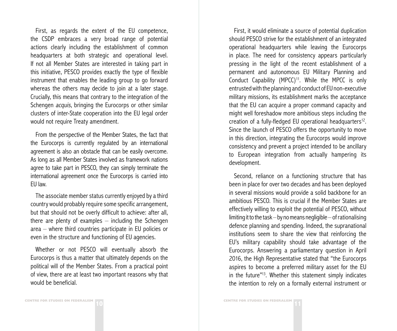First, as regards the extent of the EU competence, the CSDP embraces a very broad range of potential actions clearly including the establishment of common headquarters at both strategic and operational level. If not all Member States are interested in taking part in this initiative, PESCO provides exactly the type of flexible instrument that enables the leading group to go forward whereas the others may decide to join at a later stage. Crucially, this means that contrary to the integration of the Schengen *acquis*, bringing the Eurocorps or other similar clusters of inter-State cooperation into the EU legal order would not require Treaty amendment.

From the perspective of the Member States, the fact that the Eurocorps is currently regulated by an international agreement is also an obstacle that can be easily overcome. As long as all Member States involved as framework nations agree to take part in PESCO, they can simply terminate the international agreement once the Eurocorps is carried into EU law.

The associate member status currently enjoyed by a third country would probably require some specific arrangement, but that should not be overly difficult to achieve: after all, there are plenty of examples  $-$  including the Schengen area – where third countries participate in EU policies or even in the structure and functioning of EU agencies.

Whether or not PESCO will eventually absorb the Eurocorps is thus a matter that ultimately depends on the political will of the Member States. From a practical point of view, there are at least two important reasons why that would be beneficial.

First, it would eliminate a source of potential duplication should PESCO strive for the establishment of an integrated operational headquarters while leaving the Eurocorps in place. The need for consistency appears particularly pressing in the light of the recent establishment of a permanent and autonomous EU Military Planning and Conduct Capability (MPCC)<sup>11</sup>. While the MPCC is only entrusted with the planning and conduct of EU non-executive military missions, its establishment marks the acceptance that the EU can acquire a proper command capacity and might well foreshadow more ambitious steps including the creation of a fully-fledged EU operational headquarters<sup>12</sup>. Since the launch of PESCO offers the opportunity to move in this direction, integrating the Eurocorps would improve consistency and prevent a project intended to be ancillary to European integration from actually hampering its development.

Second, reliance on a functioning structure that has been in place for over two decades and has been deployed in several missions would provide a solid backbone for an ambitious PESCO. This is crucial if the Member States are effectively willing to exploit the potential of PESCO, without limiting it to the task – by no means negligible – of rationalising defence planning and spending. Indeed, the supranational institutions seem to share the view that reinforcing the EU's military capability should take advantage of the Eurocorps. Answering a parliamentary question in April 2016, the High Representative stated that "the Eurocorps aspires to become a preferred military asset for the EU in the future"13. Whether this statement simply indicates the intention to rely on a formally external instrument or

**10 CENTRE FOR STUDIES ON FEDERALISM 10 CENTRE FOR STUDIES ON FEDERALISM**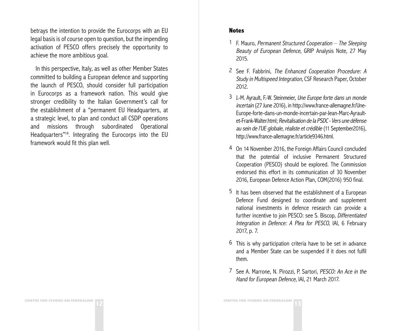betrays the intention to provide the Eurocorps with an EU legal basis is of course open to question, but the impending activation of PESCO offers precisely the opportunity to achieve the more ambitious goal.

In this perspective, Italy, as well as other Member States committed to building a European defence and supporting the launch of PESCO, should consider full participation in Eurocorps as a framework nation. This would give stronger credibility to the Italian Government's call for the establishment of a "permanent EU Headquarters, at a strategic level, to plan and conduct all CSDP operations and missions through subordinated Operational Headquarters"14. Integrating the Eurocorps into the EU framework would fit this plan well.

### **Notes**

- 1 F. Mauro, Permanent Structured Cooperation  $-$  The Sleeping Beauty of European Defence, GRIP Analysis Note, 27 May 2015.
- 2 See F. Fabbrini, The Enhanced Cooperation Procedure: A Study in Multispeed Integration, CSF Research Paper, October 2012.
- 3 J.-M. Ayrault, F.-W. Steinmeier, Une Europe forte dans un monde incertain (27 June 2016), in http://www.france-allemagne.fr/Une-Europe-forte-dans-un-monde-incertain-par-Jean-Marc-Ayraultet-Frank-Walter.html; Revitalisation de la PSDC - Vers une défense au sein de l'UE globale, réaliste et crédible (11 September2016), http://www.france-allemagne.fr/article9346.html.
- 4 On 14 November 2016, the Foreign Affairs Council concluded that the potential of inclusive Permanent Structured Cooperation (PESCO) should be explored. The Commission endorsed this effort in its communication of 30 November 2016, European Defence Action Plan, COM(2016) 950 final.
- 5 It has been observed that the establishment of a European Defence Fund designed to coordinate and supplement national investments in defence research can provide a further incentive to join PESCO: see S. Biscop, Differentiated Integration in Defence: A Plea for PESCO, IAI, 6 February 2017, p. 7.
- 6 This is why participation criteria have to be set in advance and a Member State can be suspended if it does not fulfil them.
- 7 See A. Marrone, N. Pirozzi, P. Sartori, PESCO: An Ace in the Hand for European Defence, IAI, 21 March 2017.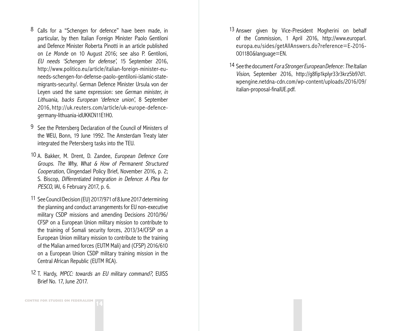- 8 Calls for a "Schengen for defence" have been made, in particular, by then Italian Foreign Minister Paolo Gentiloni and Defence Minister Roberta Pinotti in an article published on Le Monde on 10 August 2016; see also P. Gentiloni, EU needs 'Schengen for defense', 15 September 2016, http://www.politico.eu/article/italian-foreign-minister-euneeds-schengen-for-defense-paolo-gentiloni-islamic-statemigrants-security/. German Defence Minister Ursula von der Leyen used the same expression: see German minister, in Lithuania, backs European 'defence union', 8 September 2016, http://uk.reuters.com/article/uk-europe-defencegermany-lithuania-idUKKCN11E1H0.
- 9 See the Petersberg Declaration of the Council of Ministers of the WEU, Bonn, 19 June 1992. The Amsterdam Treaty later integrated the Petersberg tasks into the TEU.
- 10 A. Bakker, M. Drent, D. Zandee, European Defence Core Groups. The Why, What & How of Permanent Structured Cooperation, Clingendael Policy Brief, November 2016, p. 2; S. Biscop, Differentiated Integration in Defence: A Plea for PESCO, IAI, 6 February 2017, p. 6.
- 11 See Council Decision (EU) 2017/971 of 8 June 2017 determining the planning and conduct arrangements for EU non-executive military CSDP missions and amending Decisions 2010/96/ CFSP on a European Union military mission to contribute to the training of Somali security forces, 2013/34/CFSP on a European Union military mission to contribute to the training of the Malian armed forces (EUTM Mali) and (CFSP) 2016/610 on a European Union CSDP military training mission in the Central African Republic (EUTM RCA).
- 12 T. Hardy, MPCC: towards an EU military command?, EUISS Brief No. 17, June 2017.
- 13 Answer given by Vice-President Mogherini on behalf of the Commission, 1 April 2016, http://www.europarl. europa.eu/sides/getAllAnswers.do?reference=E-2016- 001180&language=EN.
- 14 See the document For a Stronger European Defence: The Italian Vision, September 2016, http://g8fip1kplyr33r3krz5b97d1. wpengine.netdna-cdn.com/wp-content/uploads/2016/09/ italian-proposal-finalUE.pdf.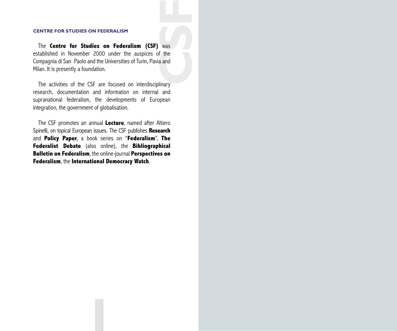**CONSTRANT WAS**<br>Fithera and<br>Constrant Constraints The **Centre for Studies on Federalism (CSF)** was established in November 2000 under the auspices of the Compagnia di San Paolo and the Universities of Turin, Pavia and Milan. It is presently a foundation.

The activities of the CSF are focused on interdisciplinary research, documentation and information on internal and supranational federalism, the developments of European integration, the government of globalisation.

The CSF promotes an annual **Lecture**, named after Altiero Spinelli, on topical European issues. The CSF publishes **Research** and **Policy Paper**, a book series on "**Federalism**", **The Federalist Debate** (also online), the **Bibliographical Bulletin on Federalism**, the online-journal **Perspectives on Federalism**, the **International Democracy Watch**.